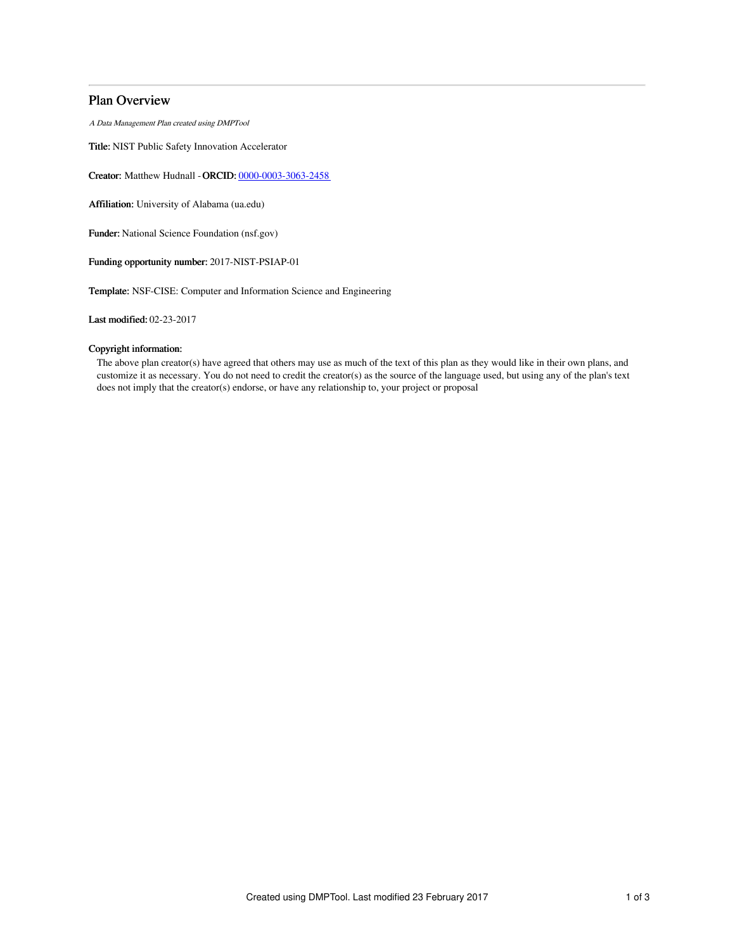# Plan Overview

A Data Management Plan created using DMPTool

Title: NIST Public Safety Innovation Accelerator

Creator: Matthew Hudnall -ORCID: [0000-0003-3063-2458](https://orcid.org/0000-0003-3063-2458)

Affiliation: University of Alabama (ua.edu)

Funder: National Science Foundation (nsf.gov)

Funding opportunity number: 2017-NIST-PSIAP-01

Template: NSF-CISE: Computer and Information Science and Engineering

Last modified: 02-23-2017

# Copyright information:

The above plan creator(s) have agreed that others may use as much of the text of this plan as they would like in their own plans, and customize it as necessary. You do not need to credit the creator(s) as the source of the language used, but using any of the plan's text does not imply that the creator(s) endorse, or have any relationship to, your project or proposal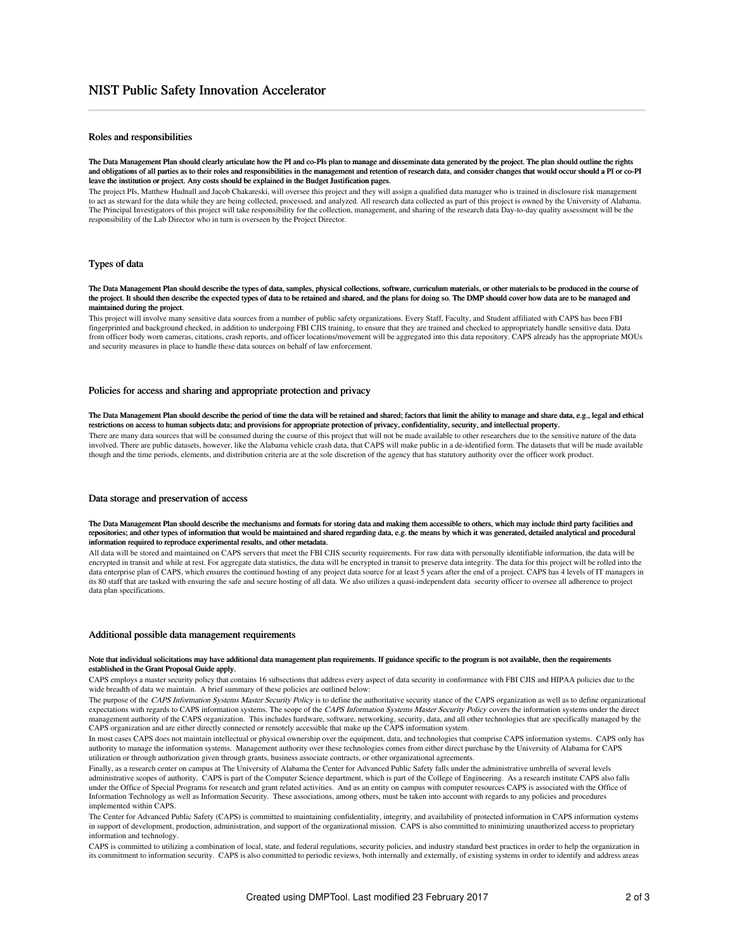# Roles and responsibilities

#### The Data Management Plan should clearly articulate how the PI and co-PIs plan to manage and disseminate data generated by the project. The plan should outline the rights and obligations of all parties as to their roles and responsibilities in the management and retention of research data, and consider changes that would occur should a PI or co-PI leave the institution or project. Any costs should be explained in the Budget Justification pages.

The project PIs, Matthew Hudnall and Jacob Chakareski, will oversee this project and they will assign a qualified data manager who is trained in disclosure risk management to act as steward for the data while they are being collected, processed, and analyzed. All research data collected as part of this project is owned by the University of Alabama. The Principal Investigators of this project will take responsibility for the collection, management, and sharing of the research data Day-to-day quality assessment will be the responsibility of the Lab Director who in turn is overseen by the Project Director.

# Types of data

### The Data Management Plan should describe the types of data, samples, physical collections, software, curriculum materials, or other materials to be produced in the course of the project. It should then describe the expected types of data to be retained and shared, and the plans for doing so. The DMP should cover how data are to be managed and maintained during the project.

This project will involve many sensitive data sources from a number of public safety organizations. Every Staff, Faculty, and Student affiliated with CAPS has been FBI fingerprinted and background checked, in addition to undergoing FBI CJIS training, to ensure that they are trained and checked to appropriately handle sensitive data. Data from officer body worn cameras, citations, crash reports, and officer locations/movement will be aggregated into this data repository. CAPS already has the appropriate MOUs and security measures in place to handle these data sources on behalf of law enforcement.

### Policies for access and sharing and appropriate protection and privacy

#### The Data Management Plan should describe the period of time the data will be retained and shared; factors that limit the ability to manage and share data, e.g., legal and ethical restrictions on access to human subjects data; and provisions for appropriate protection of privacy, confidentiality, security, and intellectual property.

There are many data sources that will be consumed during the course of this project that will not be made available to other researchers due to the sensitive nature of the data involved. There are public datasets, however, like the Alabama vehicle crash data, that CAPS will make public in a de-identified form. The datasets that will be made available though and the time periods, elements, and distribution criteria are at the sole discretion of the agency that has statutory authority over the officer work product.

### Data storage and preservation of access

### The Data Management Plan should describe the mechanisms and formats for storing data and making them accessible to others, which may include third party facilities and repositories; and other types of information that would be maintained and shared regarding data, e.g. the means by which it was generated, detailed analytical and procedural information required to reproduce experimental results, and other metadata.

All data will be stored and maintained on CAPS servers that meet the FBI CJIS security requirements. For raw data with personally identifiable information, the data will be encrypted in transit and while at rest. For aggregate data statistics, the data will be encrypted in transit to preserve data integrity. The data for this project will be rolled into the data enterprise plan of CAPS, which ensures the continued hosting of any project data source for at least 5 years after the end of a project. CAPS has 4 levels of IT managers in its 80 staff that are tasked with ensuring the safe and secure hosting of all data. We also utilizes a quasi-independent data security officer to oversee all adherence to project data plan specifications.

### Additional possible data management requirements

#### Note that individual solicitations may have additional data management plan requirements. If guidance specific to the program is not available, then the requirements established in the Grant Proposal Guide apply.

CAPS employs a master security policy that contains 16 subsections that address every aspect of data security in conformance with FBI CJIS and HIPAA policies due to the wide breadth of data we maintain. A brief summary of these policies are outlined below:

The purpose of the CAPS Information Systems Master Security Policy is to define the authoritative security stance of the CAPS organization as well as to define organizational expectations with regards to CAPS information systems. The scope of the CAPS Information Systems Master Security Policy covers the information systems under the direct management authority of the CAPS organization. This includes hardware, software, networking, security, data, and all other technologies that are specifically managed by the CAPS organization and are either directly connected or remotely accessible that make up the CAPS information system.

In most cases CAPS does not maintain intellectual or physical ownership over the equipment, data, and technologies that comprise CAPS information systems. CAPS only has authority to manage the information systems. Management authority over these technologies comes from either direct purchase by the University of Alabama for CAPS utilization or through authorization given through grants, business associate contracts, or other organizational agreements.

Finally, as a research center on campus at The University of Alabama the Center for Advanced Public Safety falls under the administrative umbrella of several levels administrative scopes of authority. CAPS is part of the Computer Science department, which is part of the College of Engineering. As a research institute CAPS also falls under the Office of Special Programs for research and grant related activities. And as an entity on campus with computer resources CAPS is associated with the Office of Information Technology as well as Information Security. These associations, among others, must be taken into account with regards to any policies and procedures implemented within CAPS.

The Center for Advanced Public Safety (CAPS) is committed to maintaining confidentiality, integrity, and availability of protected information in CAPS information systems in support of development, production, administration, and support of the organizational mission. CAPS is also committed to minimizing unauthorized access to proprietary information and technology.

CAPS is committed to utilizing a combination of local, state, and federal regulations, security policies, and industry standard best practices in order to help the organization in its commitment to information security. CAPS is also committed to periodic reviews, both internally and externally, of existing systems in order to identify and address areas